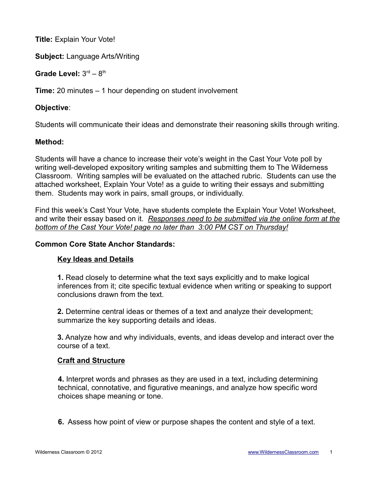**Title:** Explain Your Vote!

**Subject:** Language Arts/Writing

Grade Level:  $3<sup>rd</sup> - 8<sup>th</sup>$ 

**Time:** 20 minutes – 1 hour depending on student involvement

### **Objective**:

Students will communicate their ideas and demonstrate their reasoning skills through writing.

### **Method:**

Students will have a chance to increase their vote's weight in the Cast Your Vote poll by writing well-developed expository writing samples and submitting them to The Wilderness Classroom. Writing samples will be evaluated on the attached rubric. Students can use the attached worksheet, Explain Your Vote! as a guide to writing their essays and submitting them. Students may work in pairs, small groups, or individually.

Find this week's Cast Your Vote, have students complete the Explain Your Vote! Worksheet, and write their essay based on it. *Responses need to be submitted via the online form at the bottom of the Cast Your Vote! page no later than 3:00 PM CST on Thursday!*

### **Common Core State Anchor Standards:**

## **Key Ideas and Details**

**1.** Read closely to determine what the text says explicitly and to make logical inferences from it; cite specific textual evidence when writing or speaking to support conclusions drawn from the text.

**2.** Determine central ideas or themes of a text and analyze their development; summarize the key supporting details and ideas.

**3.** Analyze how and why individuals, events, and ideas develop and interact over the course of a text.

#### **Craft and Structure**

**4.** Interpret words and phrases as they are used in a text, including determining technical, connotative, and figurative meanings, and analyze how specific word choices shape meaning or tone.

**6.** Assess how point of view or purpose shapes the content and style of a text.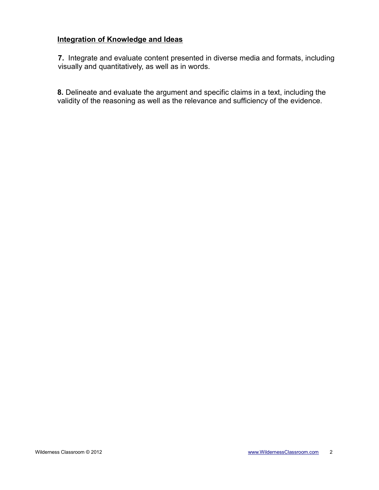# **Integration of Knowledge and Ideas**

**7.** Integrate and evaluate content presented in diverse media and formats, including visually and quantitatively, as well as in words.

**8.** Delineate and evaluate the argument and specific claims in a text, including the validity of the reasoning as well as the relevance and sufficiency of the evidence.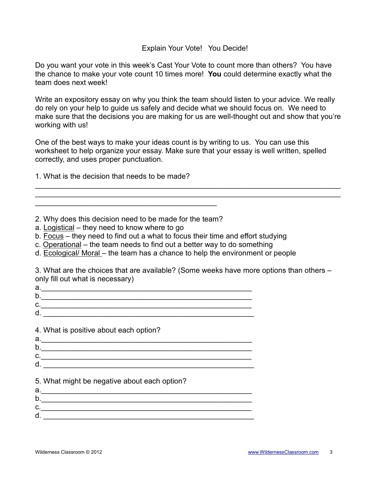#### Explain Your Vote! You Decide!

Do you want your vote in this week's Cast Your Vote to count more than others? You have the chance to make your vote count 10 times more! **You** could determine exactly what the team does next week!

Write an expository essay on why you think the team should listen to your advice. We really do rely on your help to guide us safely and decide what we should focus on. We need to make sure that the decisions you are making for us are well-thought out and show that you're working with us!

One of the best ways to make your ideas count is by writing to us. You can use this worksheet to help organize your essay. Make sure that your essay is well written, spelled correctly, and uses proper punctuation.

\_\_\_\_\_\_\_\_\_\_\_\_\_\_\_\_\_\_\_\_\_\_\_\_\_\_\_\_\_\_\_\_\_\_\_\_\_\_\_\_\_\_\_\_\_\_\_\_\_\_\_\_\_\_\_\_\_\_\_\_\_\_\_\_\_\_\_\_\_\_\_\_\_\_ \_\_\_\_\_\_\_\_\_\_\_\_\_\_\_\_\_\_\_\_\_\_\_\_\_\_\_\_\_\_\_\_\_\_\_\_\_\_\_\_\_\_\_\_\_\_\_\_\_\_\_\_\_\_\_\_\_\_\_\_\_\_\_\_\_\_\_\_\_\_\_\_\_\_

1. What is the decision that needs to be made?

- 2. Why does this decision need to be made for the team?
- a. Logistical they need to know where to go
- b. Focus they need to find out a what to focus their time and effort studying
- c. Operational the team needs to find out a better way to do something
- d. Ecological/ Moral the team has a chance to help the environment or people

3. What are the choices that are available? (Some weeks have more options than others – only fill out what is necessary)

- a.\_\_\_\_\_\_\_\_\_\_\_\_\_\_\_\_\_\_\_\_\_\_\_\_\_\_\_\_\_\_\_\_\_\_\_\_\_\_\_\_\_\_\_\_\_\_\_\_\_\_\_
- b.\_\_\_\_\_\_\_\_\_\_\_\_\_\_\_\_\_\_\_\_\_\_\_\_\_\_\_\_\_\_\_\_\_\_\_\_\_\_\_\_\_\_\_\_\_\_\_\_\_\_\_
- $c.$
- d. \_\_\_\_\_\_\_\_\_\_\_\_\_\_\_\_\_\_\_\_\_\_\_\_\_\_\_\_\_\_\_\_\_\_\_\_\_\_\_\_\_\_\_\_\_\_\_\_\_\_\_

4. What is positive about each option?

| а. |  |
|----|--|
| b  |  |
| C. |  |
| d  |  |
|    |  |

5. What might be negative about each option?

| d. |  |
|----|--|
| D. |  |
| u. |  |
| d. |  |
|    |  |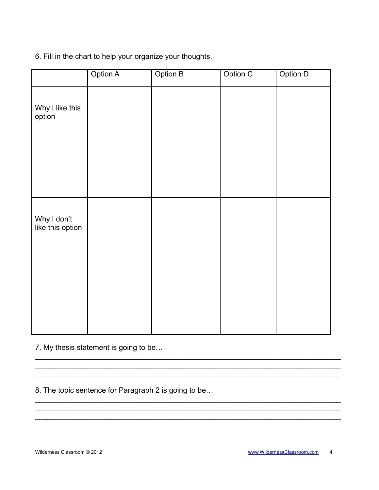### 6. Fill in the chart to help your organize your thoughts.

|                                 | Option A | Option B | Option C | Option D |
|---------------------------------|----------|----------|----------|----------|
| Why I like this<br>option       |          |          |          |          |
|                                 |          |          |          |          |
| Why I don't<br>like this option |          |          |          |          |
|                                 |          |          |          |          |
|                                 |          |          |          |          |

 $\_$  , and the contribution of the contribution of  $\mathcal{L}_\mathcal{A}$  , and the contribution of  $\mathcal{L}_\mathcal{A}$ 

\_\_\_\_\_\_\_\_\_\_\_\_\_\_\_\_\_\_\_\_\_\_\_\_\_\_\_\_\_\_\_\_\_\_\_\_\_\_\_\_\_\_\_\_\_\_\_\_\_\_\_\_\_\_\_\_\_\_\_\_\_\_\_\_\_\_\_\_\_\_\_\_\_\_

 $\_$  , and the contribution of the contribution of  $\mathcal{L}_\mathcal{A}$  , and the contribution of  $\mathcal{L}_\mathcal{A}$ 

\_\_\_\_\_\_\_\_\_\_\_\_\_\_\_\_\_\_\_\_\_\_\_\_\_\_\_\_\_\_\_\_\_\_\_\_\_\_\_\_\_\_\_\_\_\_\_\_\_\_\_\_\_\_\_\_\_\_\_\_\_\_\_\_\_\_\_\_\_\_\_\_\_\_

7. My thesis statement is going to be…

8. The topic sentence for Paragraph 2 is going to be…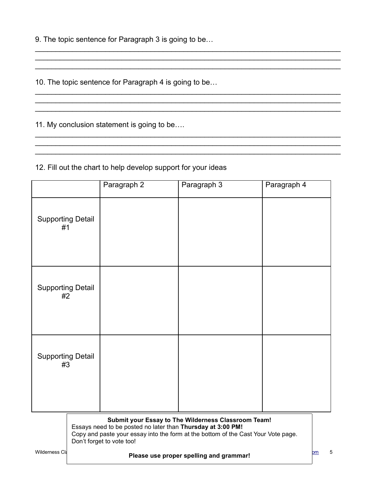9. The topic sentence for Paragraph 3 is going to be…

10. The topic sentence for Paragraph 4 is going to be…

11. My conclusion statement is going to be….

## 12. Fill out the chart to help develop support for your ideas

|                                         |                                                                                                                                                                                                                                            | Paragraph 2 | Paragraph 3 | Paragraph 4 |
|-----------------------------------------|--------------------------------------------------------------------------------------------------------------------------------------------------------------------------------------------------------------------------------------------|-------------|-------------|-------------|
| <b>Supporting Detail</b><br>#1          |                                                                                                                                                                                                                                            |             |             |             |
| <b>Supporting Detail</b><br>#2          |                                                                                                                                                                                                                                            |             |             |             |
| <b>Supporting Detail</b><br>#3          |                                                                                                                                                                                                                                            |             |             |             |
| Wilderness Cla                          | Submit your Essay to The Wilderness Classroom Team!<br>Essays need to be posted no later than Thursday at 3:00 PM!<br>Copy and paste your essay into the form at the bottom of the Cast Your Vote page.<br>Don't forget to vote too!<br>om |             |             |             |
| Please use proper spelling and grammar! |                                                                                                                                                                                                                                            |             |             |             |

\_\_\_\_\_\_\_\_\_\_\_\_\_\_\_\_\_\_\_\_\_\_\_\_\_\_\_\_\_\_\_\_\_\_\_\_\_\_\_\_\_\_\_\_\_\_\_\_\_\_\_\_\_\_\_\_\_\_\_\_\_\_\_\_\_\_\_\_\_\_\_\_\_\_

 $\mathcal{L}_\text{max}$  and  $\mathcal{L}_\text{max}$  and  $\mathcal{L}_\text{max}$  and  $\mathcal{L}_\text{max}$  and  $\mathcal{L}_\text{max}$  and  $\mathcal{L}_\text{max}$ 

\_\_\_\_\_\_\_\_\_\_\_\_\_\_\_\_\_\_\_\_\_\_\_\_\_\_\_\_\_\_\_\_\_\_\_\_\_\_\_\_\_\_\_\_\_\_\_\_\_\_\_\_\_\_\_\_\_\_\_\_\_\_\_\_\_\_\_\_\_\_\_\_\_\_

\_\_\_\_\_\_\_\_\_\_\_\_\_\_\_\_\_\_\_\_\_\_\_\_\_\_\_\_\_\_\_\_\_\_\_\_\_\_\_\_\_\_\_\_\_\_\_\_\_\_\_\_\_\_\_\_\_\_\_\_\_\_\_\_\_\_\_\_\_\_\_\_\_\_  $\mathcal{L}_\text{max}$  and  $\mathcal{L}_\text{max}$  and  $\mathcal{L}_\text{max}$  and  $\mathcal{L}_\text{max}$  and  $\mathcal{L}_\text{max}$  and  $\mathcal{L}_\text{max}$ \_\_\_\_\_\_\_\_\_\_\_\_\_\_\_\_\_\_\_\_\_\_\_\_\_\_\_\_\_\_\_\_\_\_\_\_\_\_\_\_\_\_\_\_\_\_\_\_\_\_\_\_\_\_\_\_\_\_\_\_\_\_\_\_\_\_\_\_\_\_\_\_\_\_

 $\mathcal{L}_\mathcal{L} = \mathcal{L}_\mathcal{L} = \mathcal{L}_\mathcal{L} = \mathcal{L}_\mathcal{L} = \mathcal{L}_\mathcal{L} = \mathcal{L}_\mathcal{L} = \mathcal{L}_\mathcal{L} = \mathcal{L}_\mathcal{L} = \mathcal{L}_\mathcal{L} = \mathcal{L}_\mathcal{L} = \mathcal{L}_\mathcal{L} = \mathcal{L}_\mathcal{L} = \mathcal{L}_\mathcal{L} = \mathcal{L}_\mathcal{L} = \mathcal{L}_\mathcal{L} = \mathcal{L}_\mathcal{L} = \mathcal{L}_\mathcal{L}$ 

\_\_\_\_\_\_\_\_\_\_\_\_\_\_\_\_\_\_\_\_\_\_\_\_\_\_\_\_\_\_\_\_\_\_\_\_\_\_\_\_\_\_\_\_\_\_\_\_\_\_\_\_\_\_\_\_\_\_\_\_\_\_\_\_\_\_\_\_\_\_\_\_\_\_